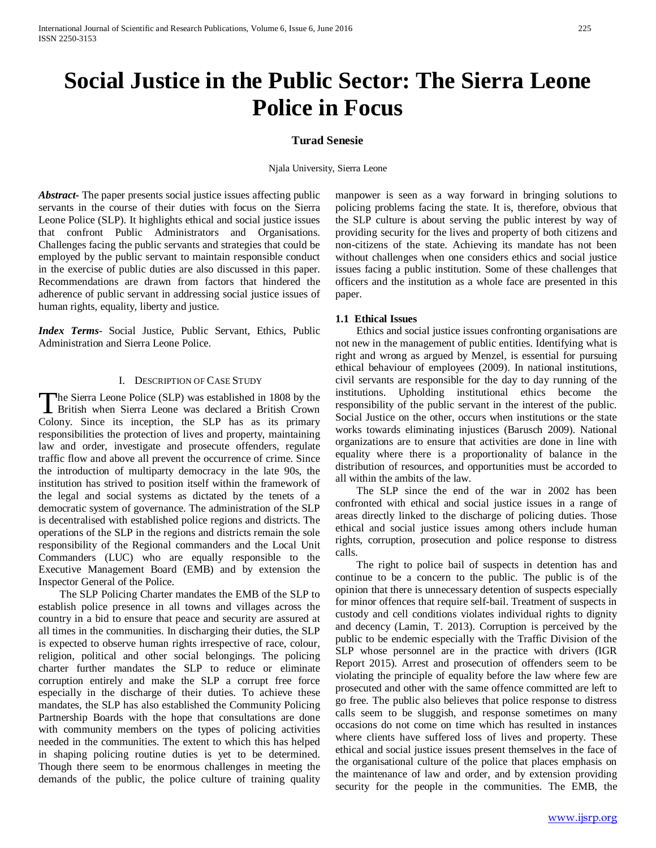# **Social Justice in the Public Sector: The Sierra Leone Police in Focus**

## **Turad Senesie**

Njala University, Sierra Leone

*Abstract***-** The paper presents social justice issues affecting public servants in the course of their duties with focus on the Sierra Leone Police (SLP). It highlights ethical and social justice issues that confront Public Administrators and Organisations. Challenges facing the public servants and strategies that could be employed by the public servant to maintain responsible conduct in the exercise of public duties are also discussed in this paper. Recommendations are drawn from factors that hindered the adherence of public servant in addressing social justice issues of human rights, equality, liberty and justice.

*Index Terms*- Social Justice, Public Servant, Ethics, Public Administration and Sierra Leone Police.

#### I. DESCRIPTION OF CASE STUDY

he Sierra Leone Police (SLP) was established in 1808 by the The Sierra Leone Police (SLP) was established in 1808 by the British when Sierra Leone was declared a British Crown Colony. Since its inception, the SLP has as its primary responsibilities the protection of lives and property, maintaining law and order, investigate and prosecute offenders, regulate traffic flow and above all prevent the occurrence of crime. Since the introduction of multiparty democracy in the late 90s, the institution has strived to position itself within the framework of the legal and social systems as dictated by the tenets of a democratic system of governance. The administration of the SLP is decentralised with established police regions and districts. The operations of the SLP in the regions and districts remain the sole responsibility of the Regional commanders and the Local Unit Commanders (LUC) who are equally responsible to the Executive Management Board (EMB) and by extension the Inspector General of the Police.

 The SLP Policing Charter mandates the EMB of the SLP to establish police presence in all towns and villages across the country in a bid to ensure that peace and security are assured at all times in the communities. In discharging their duties, the SLP is expected to observe human rights irrespective of race, colour, religion, political and other social belongings. The policing charter further mandates the SLP to reduce or eliminate corruption entirely and make the SLP a corrupt free force especially in the discharge of their duties. To achieve these mandates, the SLP has also established the Community Policing Partnership Boards with the hope that consultations are done with community members on the types of policing activities needed in the communities. The extent to which this has helped in shaping policing routine duties is yet to be determined. Though there seem to be enormous challenges in meeting the demands of the public, the police culture of training quality manpower is seen as a way forward in bringing solutions to policing problems facing the state. It is, therefore, obvious that the SLP culture is about serving the public interest by way of providing security for the lives and property of both citizens and non-citizens of the state. Achieving its mandate has not been without challenges when one considers ethics and social justice issues facing a public institution. Some of these challenges that officers and the institution as a whole face are presented in this paper.

## **1.1 Ethical Issues**

 Ethics and social justice issues confronting organisations are not new in the management of public entities. Identifying what is right and wrong as argued by Menzel, is essential for pursuing ethical behaviour of employees (2009). In national institutions, civil servants are responsible for the day to day running of the institutions. Upholding institutional ethics become the responsibility of the public servant in the interest of the public. Social Justice on the other, occurs when institutions or the state works towards eliminating injustices (Barusch 2009). National organizations are to ensure that activities are done in line with equality where there is a proportionality of balance in the distribution of resources, and opportunities must be accorded to all within the ambits of the law.

 The SLP since the end of the war in 2002 has been confronted with ethical and social justice issues in a range of areas directly linked to the discharge of policing duties. Those ethical and social justice issues among others include human rights, corruption, prosecution and police response to distress calls.

 The right to police bail of suspects in detention has and continue to be a concern to the public. The public is of the opinion that there is unnecessary detention of suspects especially for minor offences that require self-bail. Treatment of suspects in custody and cell conditions violates individual rights to dignity and decency (Lamin, T. 2013). Corruption is perceived by the public to be endemic especially with the Traffic Division of the SLP whose personnel are in the practice with drivers (IGR Report 2015). Arrest and prosecution of offenders seem to be violating the principle of equality before the law where few are prosecuted and other with the same offence committed are left to go free. The public also believes that police response to distress calls seem to be sluggish, and response sometimes on many occasions do not come on time which has resulted in instances where clients have suffered loss of lives and property. These ethical and social justice issues present themselves in the face of the organisational culture of the police that places emphasis on the maintenance of law and order, and by extension providing security for the people in the communities. The EMB, the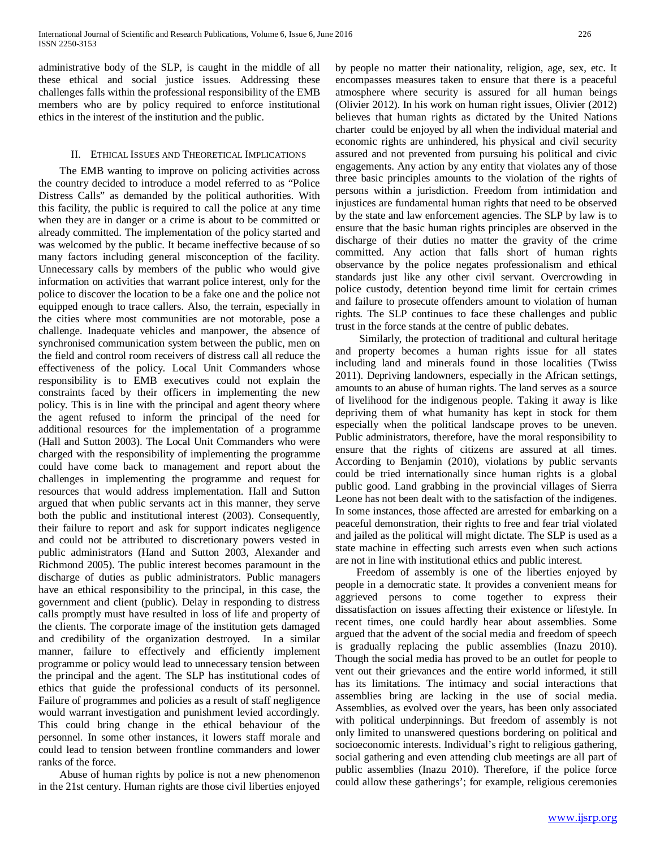administrative body of the SLP, is caught in the middle of all these ethical and social justice issues. Addressing these challenges falls within the professional responsibility of the EMB members who are by policy required to enforce institutional ethics in the interest of the institution and the public.

#### II. ETHICAL ISSUES AND THEORETICAL IMPLICATIONS

 The EMB wanting to improve on policing activities across the country decided to introduce a model referred to as "Police Distress Calls" as demanded by the political authorities. With this facility, the public is required to call the police at any time when they are in danger or a crime is about to be committed or already committed. The implementation of the policy started and was welcomed by the public. It became ineffective because of so many factors including general misconception of the facility. Unnecessary calls by members of the public who would give information on activities that warrant police interest, only for the police to discover the location to be a fake one and the police not equipped enough to trace callers. Also, the terrain, especially in the cities where most communities are not motorable, pose a challenge. Inadequate vehicles and manpower, the absence of synchronised communication system between the public, men on the field and control room receivers of distress call all reduce the effectiveness of the policy. Local Unit Commanders whose responsibility is to EMB executives could not explain the constraints faced by their officers in implementing the new policy. This is in line with the principal and agent theory where the agent refused to inform the principal of the need for additional resources for the implementation of a programme (Hall and Sutton 2003). The Local Unit Commanders who were charged with the responsibility of implementing the programme could have come back to management and report about the challenges in implementing the programme and request for resources that would address implementation. Hall and Sutton argued that when public servants act in this manner, they serve both the public and institutional interest (2003). Consequently, their failure to report and ask for support indicates negligence and could not be attributed to discretionary powers vested in public administrators (Hand and Sutton 2003, Alexander and Richmond 2005). The public interest becomes paramount in the discharge of duties as public administrators. Public managers have an ethical responsibility to the principal, in this case, the government and client (public). Delay in responding to distress calls promptly must have resulted in loss of life and property of the clients. The corporate image of the institution gets damaged and credibility of the organization destroyed. In a similar manner, failure to effectively and efficiently implement programme or policy would lead to unnecessary tension between the principal and the agent. The SLP has institutional codes of ethics that guide the professional conducts of its personnel. Failure of programmes and policies as a result of staff negligence would warrant investigation and punishment levied accordingly. This could bring change in the ethical behaviour of the personnel. In some other instances, it lowers staff morale and could lead to tension between frontline commanders and lower ranks of the force.

 Abuse of human rights by police is not a new phenomenon in the 21st century. Human rights are those civil liberties enjoyed

by people no matter their nationality, religion, age, sex, etc. It encompasses measures taken to ensure that there is a peaceful atmosphere where security is assured for all human beings (Olivier 2012). In his work on human right issues, Olivier (2012) believes that human rights as dictated by the United Nations charter could be enjoyed by all when the individual material and economic rights are unhindered, his physical and civil security assured and not prevented from pursuing his political and civic engagements. Any action by any entity that violates any of those three basic principles amounts to the violation of the rights of persons within a jurisdiction. Freedom from intimidation and injustices are fundamental human rights that need to be observed by the state and law enforcement agencies. The SLP by law is to ensure that the basic human rights principles are observed in the discharge of their duties no matter the gravity of the crime committed. Any action that falls short of human rights observance by the police negates professionalism and ethical standards just like any other civil servant. Overcrowding in police custody, detention beyond time limit for certain crimes and failure to prosecute offenders amount to violation of human rights. The SLP continues to face these challenges and public trust in the force stands at the centre of public debates.

 Similarly, the protection of traditional and cultural heritage and property becomes a human rights issue for all states including land and minerals found in those localities (Twiss 2011). Depriving landowners, especially in the African settings, amounts to an abuse of human rights. The land serves as a source of livelihood for the indigenous people. Taking it away is like depriving them of what humanity has kept in stock for them especially when the political landscape proves to be uneven. Public administrators, therefore, have the moral responsibility to ensure that the rights of citizens are assured at all times. According to Benjamin (2010), violations by public servants could be tried internationally since human rights is a global public good. Land grabbing in the provincial villages of Sierra Leone has not been dealt with to the satisfaction of the indigenes. In some instances, those affected are arrested for embarking on a peaceful demonstration, their rights to free and fear trial violated and jailed as the political will might dictate. The SLP is used as a state machine in effecting such arrests even when such actions are not in line with institutional ethics and public interest.

 Freedom of assembly is one of the liberties enjoyed by people in a democratic state. It provides a convenient means for aggrieved persons to come together to express their dissatisfaction on issues affecting their existence or lifestyle. In recent times, one could hardly hear about assemblies. Some argued that the advent of the social media and freedom of speech is gradually replacing the public assemblies (Inazu 2010). Though the social media has proved to be an outlet for people to vent out their grievances and the entire world informed, it still has its limitations. The intimacy and social interactions that assemblies bring are lacking in the use of social media. Assemblies, as evolved over the years, has been only associated with political underpinnings. But freedom of assembly is not only limited to unanswered questions bordering on political and socioeconomic interests. Individual's right to religious gathering, social gathering and even attending club meetings are all part of public assemblies (Inazu 2010). Therefore, if the police force could allow these gatherings'; for example, religious ceremonies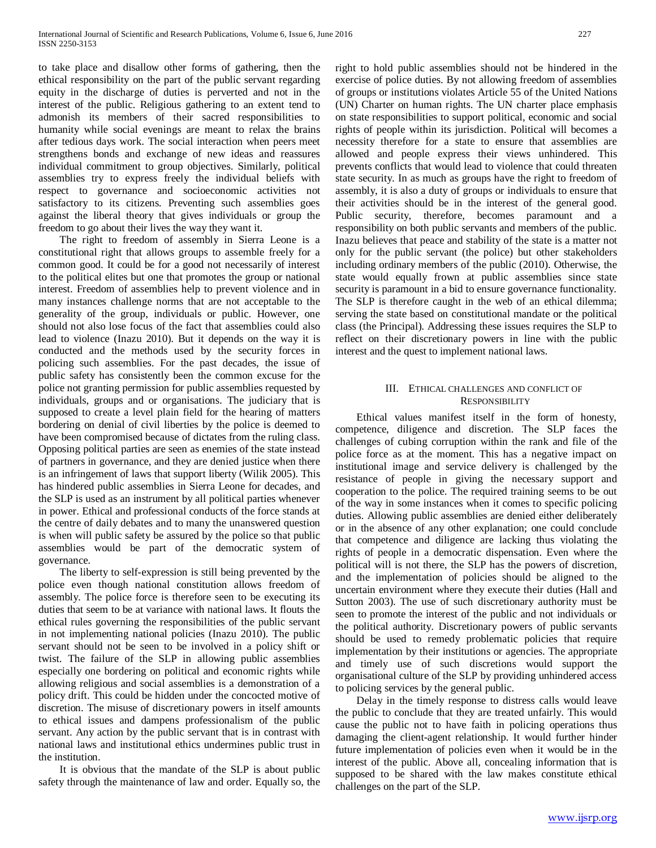to take place and disallow other forms of gathering, then the ethical responsibility on the part of the public servant regarding equity in the discharge of duties is perverted and not in the interest of the public. Religious gathering to an extent tend to admonish its members of their sacred responsibilities to humanity while social evenings are meant to relax the brains after tedious days work. The social interaction when peers meet strengthens bonds and exchange of new ideas and reassures individual commitment to group objectives. Similarly, political assemblies try to express freely the individual beliefs with respect to governance and socioeconomic activities not satisfactory to its citizens. Preventing such assemblies goes against the liberal theory that gives individuals or group the freedom to go about their lives the way they want it.

 The right to freedom of assembly in Sierra Leone is a constitutional right that allows groups to assemble freely for a common good. It could be for a good not necessarily of interest to the political elites but one that promotes the group or national interest. Freedom of assemblies help to prevent violence and in many instances challenge norms that are not acceptable to the generality of the group, individuals or public. However, one should not also lose focus of the fact that assemblies could also lead to violence (Inazu 2010). But it depends on the way it is conducted and the methods used by the security forces in policing such assemblies. For the past decades, the issue of public safety has consistently been the common excuse for the police not granting permission for public assemblies requested by individuals, groups and or organisations. The judiciary that is supposed to create a level plain field for the hearing of matters bordering on denial of civil liberties by the police is deemed to have been compromised because of dictates from the ruling class. Opposing political parties are seen as enemies of the state instead of partners in governance, and they are denied justice when there is an infringement of laws that support liberty (Wilik 2005). This has hindered public assemblies in Sierra Leone for decades, and the SLP is used as an instrument by all political parties whenever in power. Ethical and professional conducts of the force stands at the centre of daily debates and to many the unanswered question is when will public safety be assured by the police so that public assemblies would be part of the democratic system of governance.

 The liberty to self-expression is still being prevented by the police even though national constitution allows freedom of assembly. The police force is therefore seen to be executing its duties that seem to be at variance with national laws. It flouts the ethical rules governing the responsibilities of the public servant in not implementing national policies (Inazu 2010). The public servant should not be seen to be involved in a policy shift or twist. The failure of the SLP in allowing public assemblies especially one bordering on political and economic rights while allowing religious and social assemblies is a demonstration of a policy drift. This could be hidden under the concocted motive of discretion. The misuse of discretionary powers in itself amounts to ethical issues and dampens professionalism of the public servant. Any action by the public servant that is in contrast with national laws and institutional ethics undermines public trust in the institution.

 It is obvious that the mandate of the SLP is about public safety through the maintenance of law and order. Equally so, the right to hold public assemblies should not be hindered in the exercise of police duties. By not allowing freedom of assemblies of groups or institutions violates Article 55 of the United Nations (UN) Charter on human rights. The UN charter place emphasis on state responsibilities to support political, economic and social rights of people within its jurisdiction. Political will becomes a necessity therefore for a state to ensure that assemblies are allowed and people express their views unhindered. This prevents conflicts that would lead to violence that could threaten state security. In as much as groups have the right to freedom of assembly, it is also a duty of groups or individuals to ensure that their activities should be in the interest of the general good. Public security, therefore, becomes paramount and a responsibility on both public servants and members of the public. Inazu believes that peace and stability of the state is a matter not only for the public servant (the police) but other stakeholders including ordinary members of the public (2010). Otherwise, the state would equally frown at public assemblies since state security is paramount in a bid to ensure governance functionality. The SLP is therefore caught in the web of an ethical dilemma; serving the state based on constitutional mandate or the political class (the Principal). Addressing these issues requires the SLP to reflect on their discretionary powers in line with the public interest and the quest to implement national laws.

## III. ETHICAL CHALLENGES AND CONFLICT OF **RESPONSIBILITY**

 Ethical values manifest itself in the form of honesty, competence, diligence and discretion. The SLP faces the challenges of cubing corruption within the rank and file of the police force as at the moment. This has a negative impact on institutional image and service delivery is challenged by the resistance of people in giving the necessary support and cooperation to the police. The required training seems to be out of the way in some instances when it comes to specific policing duties. Allowing public assemblies are denied either deliberately or in the absence of any other explanation; one could conclude that competence and diligence are lacking thus violating the rights of people in a democratic dispensation. Even where the political will is not there, the SLP has the powers of discretion, and the implementation of policies should be aligned to the uncertain environment where they execute their duties (Hall and Sutton 2003). The use of such discretionary authority must be seen to promote the interest of the public and not individuals or the political authority. Discretionary powers of public servants should be used to remedy problematic policies that require implementation by their institutions or agencies. The appropriate and timely use of such discretions would support the organisational culture of the SLP by providing unhindered access to policing services by the general public.

 Delay in the timely response to distress calls would leave the public to conclude that they are treated unfairly. This would cause the public not to have faith in policing operations thus damaging the client-agent relationship. It would further hinder future implementation of policies even when it would be in the interest of the public. Above all, concealing information that is supposed to be shared with the law makes constitute ethical challenges on the part of the SLP.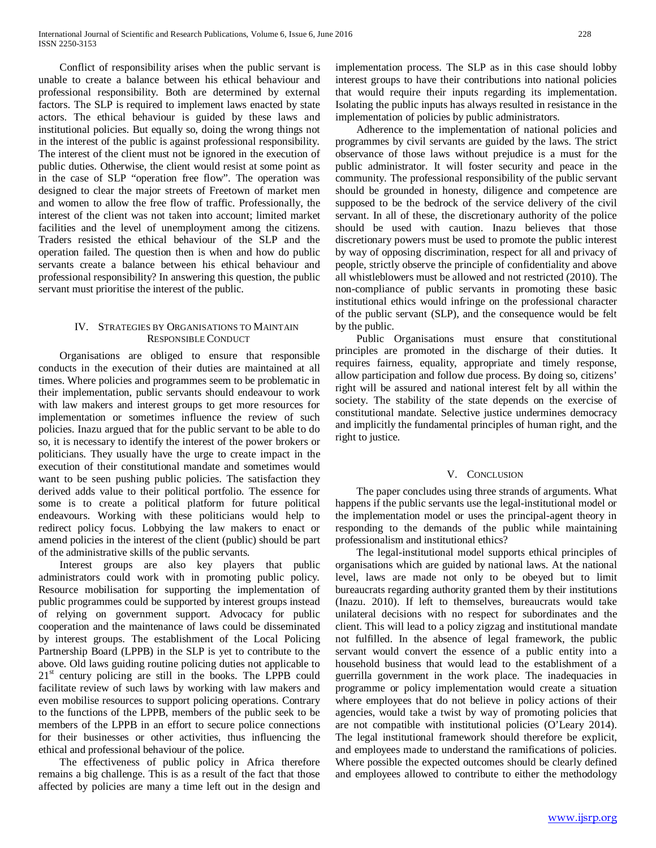Conflict of responsibility arises when the public servant is unable to create a balance between his ethical behaviour and professional responsibility. Both are determined by external factors. The SLP is required to implement laws enacted by state actors. The ethical behaviour is guided by these laws and institutional policies. But equally so, doing the wrong things not in the interest of the public is against professional responsibility. The interest of the client must not be ignored in the execution of public duties. Otherwise, the client would resist at some point as in the case of SLP "operation free flow". The operation was designed to clear the major streets of Freetown of market men and women to allow the free flow of traffic. Professionally, the interest of the client was not taken into account; limited market facilities and the level of unemployment among the citizens. Traders resisted the ethical behaviour of the SLP and the operation failed. The question then is when and how do public servants create a balance between his ethical behaviour and professional responsibility? In answering this question, the public servant must prioritise the interest of the public.

## IV. STRATEGIES BY ORGANISATIONS TO MAINTAIN RESPONSIBLE CONDUCT

 Organisations are obliged to ensure that responsible conducts in the execution of their duties are maintained at all times. Where policies and programmes seem to be problematic in their implementation, public servants should endeavour to work with law makers and interest groups to get more resources for implementation or sometimes influence the review of such policies. Inazu argued that for the public servant to be able to do so, it is necessary to identify the interest of the power brokers or politicians. They usually have the urge to create impact in the execution of their constitutional mandate and sometimes would want to be seen pushing public policies. The satisfaction they derived adds value to their political portfolio. The essence for some is to create a political platform for future political endeavours. Working with these politicians would help to redirect policy focus. Lobbying the law makers to enact or amend policies in the interest of the client (public) should be part of the administrative skills of the public servants.

 Interest groups are also key players that public administrators could work with in promoting public policy. Resource mobilisation for supporting the implementation of public programmes could be supported by interest groups instead of relying on government support. Advocacy for public cooperation and the maintenance of laws could be disseminated by interest groups. The establishment of the Local Policing Partnership Board (LPPB) in the SLP is yet to contribute to the above. Old laws guiding routine policing duties not applicable to  $21<sup>st</sup>$  century policing are still in the books. The LPPB could facilitate review of such laws by working with law makers and even mobilise resources to support policing operations. Contrary to the functions of the LPPB, members of the public seek to be members of the LPPB in an effort to secure police connections for their businesses or other activities, thus influencing the ethical and professional behaviour of the police.

 The effectiveness of public policy in Africa therefore remains a big challenge. This is as a result of the fact that those affected by policies are many a time left out in the design and implementation process. The SLP as in this case should lobby interest groups to have their contributions into national policies that would require their inputs regarding its implementation. Isolating the public inputs has always resulted in resistance in the implementation of policies by public administrators.

 Adherence to the implementation of national policies and programmes by civil servants are guided by the laws. The strict observance of those laws without prejudice is a must for the public administrator. It will foster security and peace in the community. The professional responsibility of the public servant should be grounded in honesty, diligence and competence are supposed to be the bedrock of the service delivery of the civil servant. In all of these, the discretionary authority of the police should be used with caution. Inazu believes that those discretionary powers must be used to promote the public interest by way of opposing discrimination, respect for all and privacy of people, strictly observe the principle of confidentiality and above all whistleblowers must be allowed and not restricted (2010). The non-compliance of public servants in promoting these basic institutional ethics would infringe on the professional character of the public servant (SLP), and the consequence would be felt by the public.

 Public Organisations must ensure that constitutional principles are promoted in the discharge of their duties. It requires fairness, equality, appropriate and timely response, allow participation and follow due process. By doing so, citizens' right will be assured and national interest felt by all within the society. The stability of the state depends on the exercise of constitutional mandate. Selective justice undermines democracy and implicitly the fundamental principles of human right, and the right to justice.

#### V. CONCLUSION

 The paper concludes using three strands of arguments. What happens if the public servants use the legal-institutional model or the implementation model or uses the principal-agent theory in responding to the demands of the public while maintaining professionalism and institutional ethics?

 The legal-institutional model supports ethical principles of organisations which are guided by national laws. At the national level, laws are made not only to be obeyed but to limit bureaucrats regarding authority granted them by their institutions (Inazu. 2010). If left to themselves, bureaucrats would take unilateral decisions with no respect for subordinates and the client. This will lead to a policy zigzag and institutional mandate not fulfilled. In the absence of legal framework, the public servant would convert the essence of a public entity into a household business that would lead to the establishment of a guerrilla government in the work place. The inadequacies in programme or policy implementation would create a situation where employees that do not believe in policy actions of their agencies, would take a twist by way of promoting policies that are not compatible with institutional policies (O'Leary 2014). The legal institutional framework should therefore be explicit, and employees made to understand the ramifications of policies. Where possible the expected outcomes should be clearly defined and employees allowed to contribute to either the methodology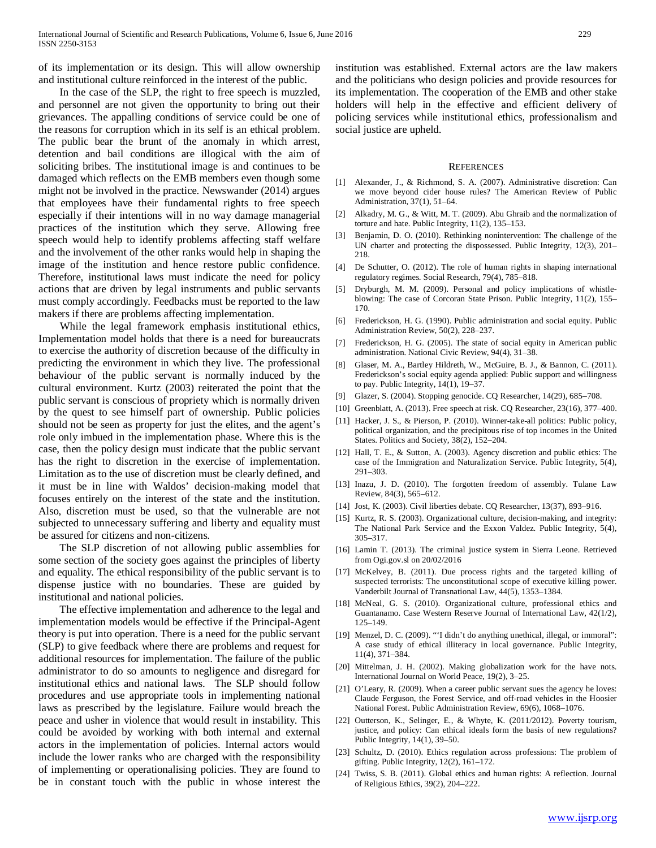of its implementation or its design. This will allow ownership and institutional culture reinforced in the interest of the public.

 In the case of the SLP, the right to free speech is muzzled, and personnel are not given the opportunity to bring out their grievances. The appalling conditions of service could be one of the reasons for corruption which in its self is an ethical problem. The public bear the brunt of the anomaly in which arrest, detention and bail conditions are illogical with the aim of soliciting bribes. The institutional image is and continues to be damaged which reflects on the EMB members even though some might not be involved in the practice. Newswander (2014) argues that employees have their fundamental rights to free speech especially if their intentions will in no way damage managerial practices of the institution which they serve. Allowing free speech would help to identify problems affecting staff welfare and the involvement of the other ranks would help in shaping the image of the institution and hence restore public confidence. Therefore, institutional laws must indicate the need for policy actions that are driven by legal instruments and public servants must comply accordingly. Feedbacks must be reported to the law makers if there are problems affecting implementation.

 While the legal framework emphasis institutional ethics, Implementation model holds that there is a need for bureaucrats to exercise the authority of discretion because of the difficulty in predicting the environment in which they live. The professional behaviour of the public servant is normally induced by the cultural environment. Kurtz (2003) reiterated the point that the public servant is conscious of propriety which is normally driven by the quest to see himself part of ownership. Public policies should not be seen as property for just the elites, and the agent's role only imbued in the implementation phase. Where this is the case, then the policy design must indicate that the public servant has the right to discretion in the exercise of implementation. Limitation as to the use of discretion must be clearly defined, and it must be in line with Waldos' decision-making model that focuses entirely on the interest of the state and the institution. Also, discretion must be used, so that the vulnerable are not subjected to unnecessary suffering and liberty and equality must be assured for citizens and non-citizens.

 The SLP discretion of not allowing public assemblies for some section of the society goes against the principles of liberty and equality. The ethical responsibility of the public servant is to dispense justice with no boundaries. These are guided by institutional and national policies.

 The effective implementation and adherence to the legal and implementation models would be effective if the Principal-Agent theory is put into operation. There is a need for the public servant (SLP) to give feedback where there are problems and request for additional resources for implementation. The failure of the public administrator to do so amounts to negligence and disregard for institutional ethics and national laws. The SLP should follow procedures and use appropriate tools in implementing national laws as prescribed by the legislature. Failure would breach the peace and usher in violence that would result in instability. This could be avoided by working with both internal and external actors in the implementation of policies. Internal actors would include the lower ranks who are charged with the responsibility of implementing or operationalising policies. They are found to be in constant touch with the public in whose interest the

institution was established. External actors are the law makers and the politicians who design policies and provide resources for its implementation. The cooperation of the EMB and other stake holders will help in the effective and efficient delivery of policing services while institutional ethics, professionalism and social justice are upheld.

#### **REFERENCES**

- [1] Alexander, J., & Richmond, S. A. (2007). Administrative discretion: Can we move beyond cider house rules? The American Review of Public Administration, 37(1), 51–64.
- [2] Alkadry, M. G., & Witt, M. T. (2009). Abu Ghraib and the normalization of torture and hate. Public Integrity, 11(2), 135–153.
- [3] Benjamin, D. O. (2010). Rethinking nonintervention: The challenge of the UN charter and protecting the dispossessed. Public Integrity, 12(3), 201– 218.
- [4] De Schutter, O. (2012). The role of human rights in shaping international regulatory regimes. Social Research, 79(4), 785–818.
- [5] Dryburgh, M. M. (2009). Personal and policy implications of whistleblowing: The case of Corcoran State Prison. Public Integrity, 11(2), 155– 170.
- [6] Frederickson, H. G. (1990). Public administration and social equity. Public Administration Review, 50(2), 228–237.
- [7] Frederickson, H. G. (2005). The state of social equity in American public administration. National Civic Review, 94(4), 31–38.
- [8] Glaser, M. A., Bartley Hildreth, W., McGuire, B. J., & Bannon, C. (2011). Frederickson's social equity agenda applied: Public support and willingness to pay. Public Integrity, 14(1), 19–37.
- [9] Glazer, S. (2004). Stopping genocide. CQ Researcher, 14(29), 685–708.
- [10] Greenblatt, A. (2013). Free speech at risk. CQ Researcher, 23(16), 377-400.
- [11] Hacker, J. S., & Pierson, P. (2010). Winner-take-all politics: Public policy, political organization, and the precipitous rise of top incomes in the United States. Politics and Society, 38(2), 152–204.
- [12] Hall, T. E., & Sutton, A. (2003). Agency discretion and public ethics: The case of the Immigration and Naturalization Service. Public Integrity, 5(4), 291–303.
- [13] Inazu, J. D. (2010). The forgotten freedom of assembly. Tulane Law Review, 84(3), 565–612.
- [14] Jost, K. (2003). Civil liberties debate. CQ Researcher, 13(37), 893–916.
- [15] Kurtz, R. S. (2003). Organizational culture, decision-making, and integrity: The National Park Service and the Exxon Valdez. Public Integrity, 5(4), 305–317.
- [16] Lamin T. (2013). The criminal justice system in Sierra Leone. Retrieved from Ogi.gov.sl on 20/02/2016
- [17] McKelvey, B. (2011). Due process rights and the targeted killing of suspected terrorists: The unconstitutional scope of executive killing power. Vanderbilt Journal of Transnational Law, 44(5), 1353–1384.
- [18] McNeal, G. S. (2010). Organizational culture, professional ethics and Guantanamo. Case Western Reserve Journal of International Law, 42(1/2), 125–149.
- [19] Menzel, D. C. (2009). "'I didn't do anything unethical, illegal, or immoral": A case study of ethical illiteracy in local governance. Public Integrity, 11(4), 371–384.
- [20] Mittelman, J. H. (2002). Making globalization work for the have nots. International Journal on World Peace, 19(2), 3–25.
- [21] O'Leary, R. (2009). When a career public servant sues the agency he loves: Claude Ferguson, the Forest Service, and off-road vehicles in the Hoosier National Forest. Public Administration Review, 69(6), 1068–1076.
- [22] Outterson, K., Selinger, E., & Whyte, K. (2011/2012). Poverty tourism, justice, and policy: Can ethical ideals form the basis of new regulations? Public Integrity, 14(1), 39–50.
- [23] Schultz, D. (2010). Ethics regulation across professions: The problem of gifting. Public Integrity, 12(2), 161–172.
- [24] Twiss, S. B. (2011). Global ethics and human rights: A reflection. Journal of Religious Ethics, 39(2), 204–222.